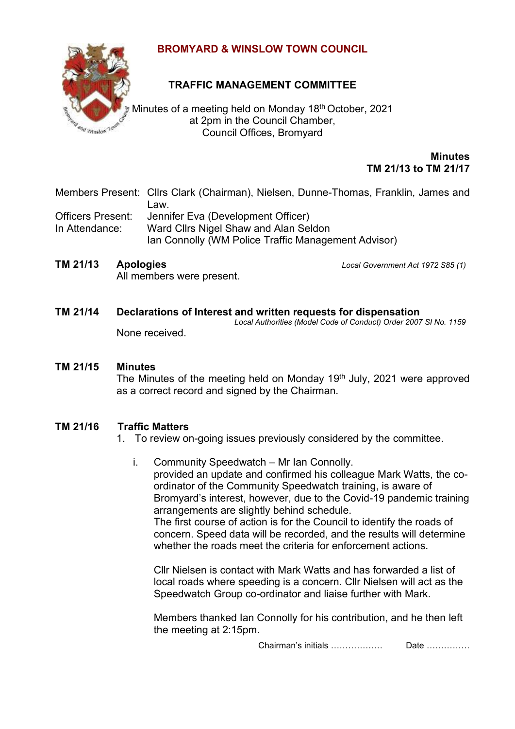

# **BROMYARD & WINSLOW TOWN COUNCIL**

# **TRAFFIC MANAGEMENT COMMITTEE**

Minutes of a meeting held on Monday 18<sup>th</sup> October, 2021 at 2pm in the Council Chamber, Council Offices, Bromyard

> **Minutes TM 21/13 to TM 21/17**

Members Present: Cllrs Clark (Chairman), Nielsen, Dunne-Thomas, Franklin, James and Law.

Officers Present: Jennifer Eva (Development Officer) In Attendance: Ward Cllrs Nigel Shaw and Alan Seldon Ian Connolly (WM Police Traffic Management Advisor)

All members were present.

**TM 21/13 Apologies** *Local Government Act 1972 S85 (1)*

### **TM 21/14 Declarations of Interest and written requests for dispensation** *Local Authorities (Model Code of Conduct) Order 2007 SI No. 1159*

None received.

## **TM 21/15 Minutes**

The Minutes of the meeting held on Monday 19<sup>th</sup> July, 2021 were approved as a correct record and signed by the Chairman.

# **TM 21/16 Traffic Matters**

- 1. To review on-going issues previously considered by the committee.
	- i. Community Speedwatch Mr Ian Connolly. provided an update and confirmed his colleague Mark Watts, the coordinator of the Community Speedwatch training, is aware of Bromyard's interest, however, due to the Covid-19 pandemic training arrangements are slightly behind schedule. The first course of action is for the Council to identify the roads of concern. Speed data will be recorded, and the results will determine whether the roads meet the criteria for enforcement actions.

Cllr Nielsen is contact with Mark Watts and has forwarded a list of local roads where speeding is a concern. Cllr Nielsen will act as the Speedwatch Group co-ordinator and liaise further with Mark.

Members thanked Ian Connolly for his contribution, and he then left the meeting at 2:15pm.

Chairman's initials ……………… Date ……………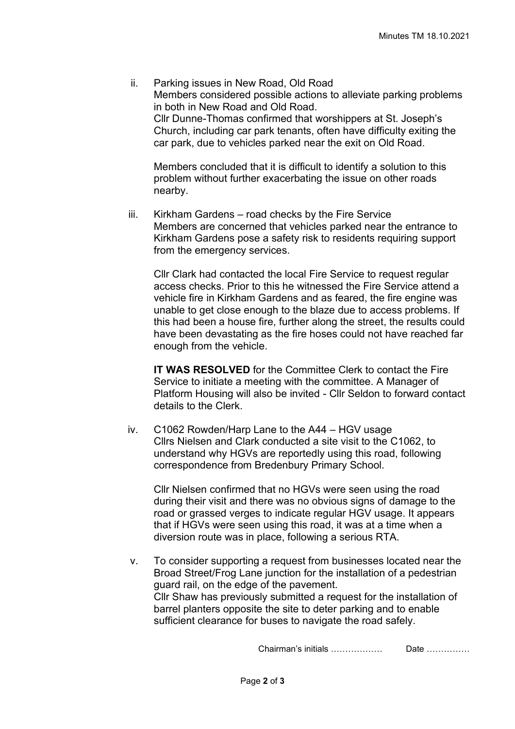ii. Parking issues in New Road, Old Road Members considered possible actions to alleviate parking problems in both in New Road and Old Road. Cllr Dunne-Thomas confirmed that worshippers at St. Joseph's Church, including car park tenants, often have difficulty exiting the car park, due to vehicles parked near the exit on Old Road.

Members concluded that it is difficult to identify a solution to this problem without further exacerbating the issue on other roads nearby.

iii. Kirkham Gardens – road checks by the Fire Service Members are concerned that vehicles parked near the entrance to Kirkham Gardens pose a safety risk to residents requiring support from the emergency services.

Cllr Clark had contacted the local Fire Service to request regular access checks. Prior to this he witnessed the Fire Service attend a vehicle fire in Kirkham Gardens and as feared, the fire engine was unable to get close enough to the blaze due to access problems. If this had been a house fire, further along the street, the results could have been devastating as the fire hoses could not have reached far enough from the vehicle.

**IT WAS RESOLVED** for the Committee Clerk to contact the Fire Service to initiate a meeting with the committee. A Manager of Platform Housing will also be invited - Cllr Seldon to forward contact details to the Clerk.

iv. C1062 Rowden/Harp Lane to the A44 – HGV usage Cllrs Nielsen and Clark conducted a site visit to the C1062, to understand why HGVs are reportedly using this road, following correspondence from Bredenbury Primary School.

Cllr Nielsen confirmed that no HGVs were seen using the road during their visit and there was no obvious signs of damage to the road or grassed verges to indicate regular HGV usage. It appears that if HGVs were seen using this road, it was at a time when a diversion route was in place, following a serious RTA.

v. To consider supporting a request from businesses located near the Broad Street/Frog Lane junction for the installation of a pedestrian guard rail, on the edge of the pavement. Cllr Shaw has previously submitted a request for the installation of barrel planters opposite the site to deter parking and to enable sufficient clearance for buses to navigate the road safely.

Chairman's initials ……………… Date ……………